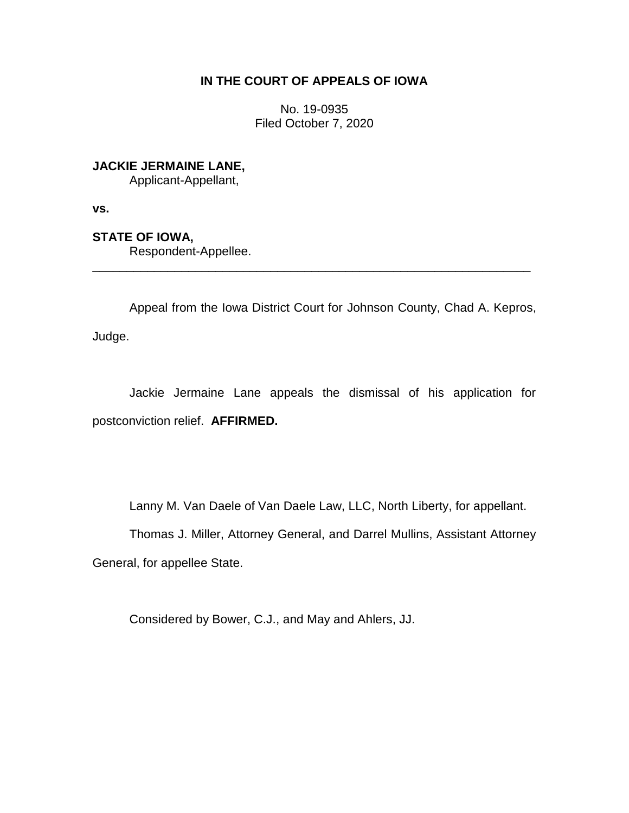## **IN THE COURT OF APPEALS OF IOWA**

No. 19-0935 Filed October 7, 2020

**JACKIE JERMAINE LANE,**

Applicant-Appellant,

**vs.**

**STATE OF IOWA,**

Respondent-Appellee.

Appeal from the Iowa District Court for Johnson County, Chad A. Kepros, Judge.

\_\_\_\_\_\_\_\_\_\_\_\_\_\_\_\_\_\_\_\_\_\_\_\_\_\_\_\_\_\_\_\_\_\_\_\_\_\_\_\_\_\_\_\_\_\_\_\_\_\_\_\_\_\_\_\_\_\_\_\_\_\_\_\_

Jackie Jermaine Lane appeals the dismissal of his application for postconviction relief. **AFFIRMED.**

Lanny M. Van Daele of Van Daele Law, LLC, North Liberty, for appellant.

Thomas J. Miller, Attorney General, and Darrel Mullins, Assistant Attorney General, for appellee State.

Considered by Bower, C.J., and May and Ahlers, JJ.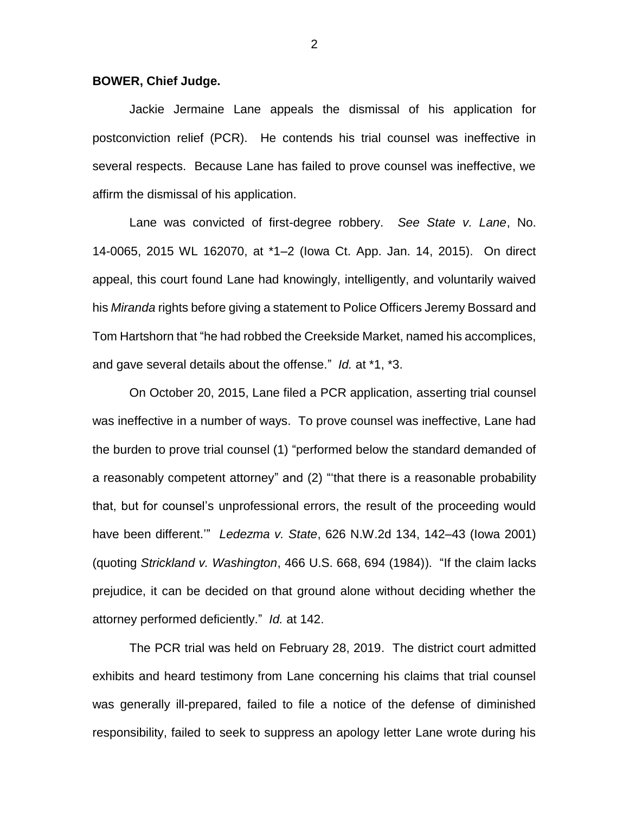## **BOWER, Chief Judge.**

Jackie Jermaine Lane appeals the dismissal of his application for postconviction relief (PCR). He contends his trial counsel was ineffective in several respects. Because Lane has failed to prove counsel was ineffective, we affirm the dismissal of his application.

Lane was convicted of first-degree robbery. *See State v. Lane*, No. 14-0065, 2015 WL 162070, at \*1–2 (Iowa Ct. App. Jan. 14, 2015). On direct appeal, this court found Lane had knowingly, intelligently, and voluntarily waived his *Miranda* rights before giving a statement to Police Officers Jeremy Bossard and Tom Hartshorn that "he had robbed the Creekside Market, named his accomplices, and gave several details about the offense." *Id.* at \*1, \*3.

On October 20, 2015, Lane filed a PCR application, asserting trial counsel was ineffective in a number of ways. To prove counsel was ineffective, Lane had the burden to prove trial counsel (1) "performed below the standard demanded of a reasonably competent attorney" and (2) "'that there is a reasonable probability that, but for counsel's unprofessional errors, the result of the proceeding would have been different.'" *Ledezma v. State*, 626 N.W.2d 134, 142–43 (Iowa 2001) (quoting *Strickland v. Washington*, 466 U.S. 668, 694 (1984)). "If the claim lacks prejudice, it can be decided on that ground alone without deciding whether the attorney performed deficiently." *Id.* at 142.

The PCR trial was held on February 28, 2019. The district court admitted exhibits and heard testimony from Lane concerning his claims that trial counsel was generally ill-prepared, failed to file a notice of the defense of diminished responsibility, failed to seek to suppress an apology letter Lane wrote during his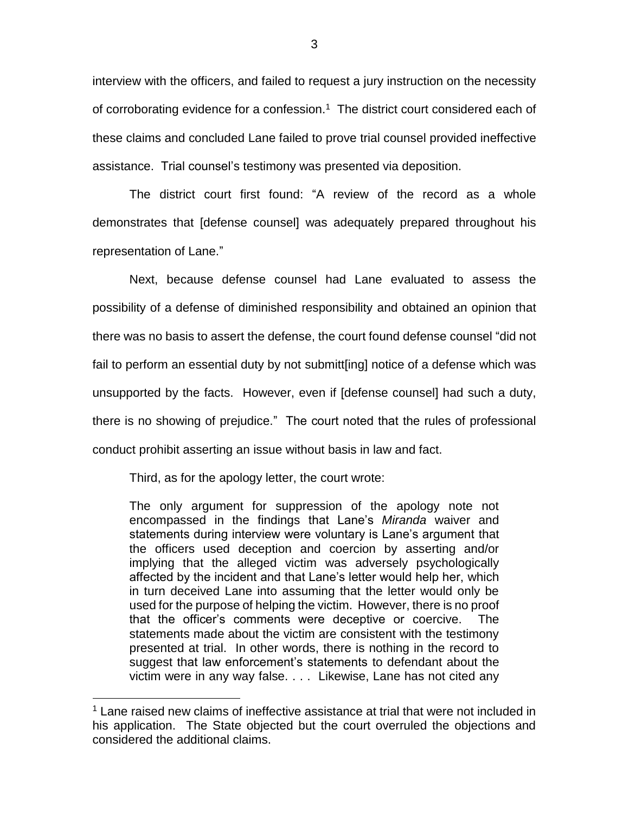interview with the officers, and failed to request a jury instruction on the necessity of corroborating evidence for a confession.<sup>1</sup> The district court considered each of these claims and concluded Lane failed to prove trial counsel provided ineffective assistance. Trial counsel's testimony was presented via deposition.

The district court first found: "A review of the record as a whole demonstrates that [defense counsel] was adequately prepared throughout his representation of Lane."

Next, because defense counsel had Lane evaluated to assess the possibility of a defense of diminished responsibility and obtained an opinion that there was no basis to assert the defense, the court found defense counsel "did not fail to perform an essential duty by not submitt[ing] notice of a defense which was unsupported by the facts. However, even if [defense counsel] had such a duty, there is no showing of prejudice." The court noted that the rules of professional conduct prohibit asserting an issue without basis in law and fact.

Third, as for the apology letter, the court wrote:

 $\overline{a}$ 

The only argument for suppression of the apology note not encompassed in the findings that Lane's *Miranda* waiver and statements during interview were voluntary is Lane's argument that the officers used deception and coercion by asserting and/or implying that the alleged victim was adversely psychologically affected by the incident and that Lane's letter would help her, which in turn deceived Lane into assuming that the letter would only be used for the purpose of helping the victim. However, there is no proof that the officer's comments were deceptive or coercive. The statements made about the victim are consistent with the testimony presented at trial. In other words, there is nothing in the record to suggest that law enforcement's statements to defendant about the victim were in any way false. . . . Likewise, Lane has not cited any

 $1$  Lane raised new claims of ineffective assistance at trial that were not included in his application. The State objected but the court overruled the objections and considered the additional claims.